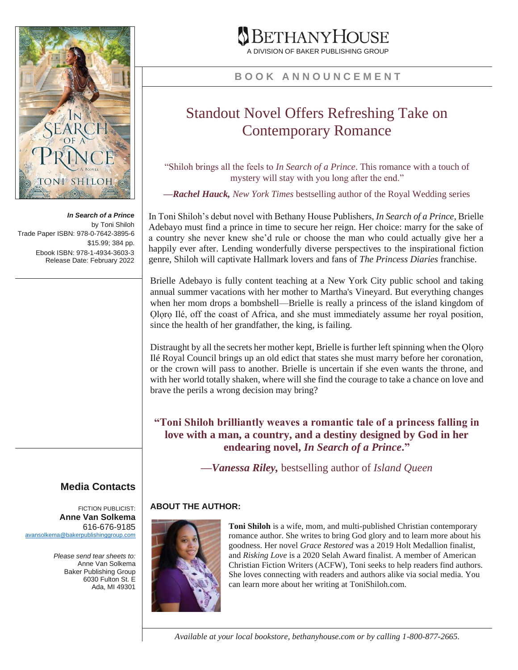

*In Search of a Prince* by Toni Shiloh Trade Paper ISBN: 978-0-7642-3895-6 \$15.99; 384 pp. Ebook ISBN: 978-1-4934-3603-3 Release Date: February 2022

# ETHANYHOUSE

A DIVISION OF BAKER PUBLISHING GROUP

#### **B O O K A N N O U N C E M E N T**

## Standout Novel Offers Refreshing Take on Contemporary Romance

"Shiloh brings all the feels to *In Search of a Prince*. This romance with a touch of mystery will stay with you long after the end."

*—Rachel Hauck, New York Times* bestselling author of the Royal Wedding series

In Toni Shiloh's debut novel with Bethany House Publishers, *In Search of a Prince*, Brielle Adebayo must find a prince in time to secure her reign. Her choice: marry for the sake of a country she never knew she'd rule or choose the man who could actually give her a happily ever after. Lending wonderfully diverse perspectives to the inspirational fiction genre, Shiloh will captivate Hallmark lovers and fans of *The Princess Diaries* franchise.

Brielle Adebayo is fully content teaching at a New York City public school and taking annual summer vacations with her mother to Martha's Vineyard. But everything changes when her mom drops a bombshell—Brielle is really a princess of the island kingdom of Oloro Ilé, off the coast of Africa, and she must immediately assume her royal position, since the health of her grandfather, the king, is failing.

Distraught by all the secrets her mother kept, Brielle is further left spinning when the Ọlọrọ Ilé Royal Council brings up an old edict that states she must marry before her coronation, or the crown will pass to another. Brielle is uncertain if she even wants the throne, and with her world totally shaken, where will she find the courage to take a chance on love and brave the perils a wrong decision may bring?

**"Toni Shiloh brilliantly weaves a romantic tale of a princess falling in love with a man, a country, and a destiny designed by God in her endearing novel,** *In Search of a Prince***."**

*—Vanessa Riley,* bestselling author of *Island Queen*

### **ABOUT THE AUTHOR:**

**Toni Shiloh** is a wife, mom, and multi-published Christian contemporary romance author. She writes to bring God glory and to learn more about his

goodness. Her novel *Grace Restored* was a 2019 Holt Medallion finalist, and *Risking Love* is a 2020 Selah Award finalist. A member of American Christian Fiction Writers (ACFW), Toni seeks to help readers find authors. She loves connecting with readers and authors alike via social media. You can learn more about her writing at ToniShiloh.com.

**Media Contacts**

FICTION PUBLICIST: **Anne Van Solkema** 616-676-9185 [avansolkema@bakerpublishinggroup.com](mailto:avansolkema@bakerpublishinggroup.com)

> *Please send tear sheets to:* Anne Van Solkema Baker Publishing Group 6030 Fulton St. E Ada, MI 49301

> > *Available at your local bookstore, bethanyhouse.com or by calling 1-800-877-2665.*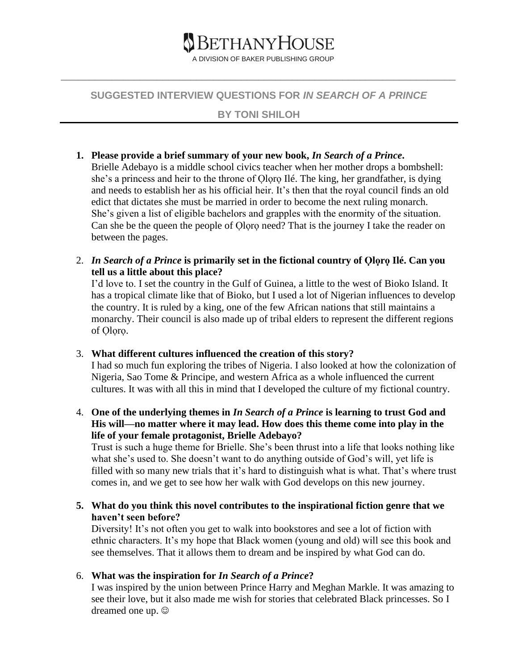

#### **SUGGESTED INTERVIEW QUESTIONS FOR** *IN SEARCH OF A PRINCE*

**\_\_\_\_\_\_\_\_\_\_\_\_\_\_\_\_\_\_\_\_\_\_\_\_\_\_\_\_\_\_\_\_\_\_\_\_\_\_\_\_\_\_\_\_\_\_\_\_\_\_\_\_\_\_\_\_\_\_\_\_\_\_\_\_\_\_\_\_\_\_**

#### **BY TONI SHILOH**

#### **1. Please provide a brief summary of your new book,** *In Search of a Prince***.**

Brielle Adebayo is a middle school civics teacher when her mother drops a bombshell: she's a princess and heir to the throne of Ọlọrọ Ilé. The king, her grandfather, is dying and needs to establish her as his official heir. It's then that the royal council finds an old edict that dictates she must be married in order to become the next ruling monarch. She's given a list of eligible bachelors and grapples with the enormity of the situation. Can she be the queen the people of Ọlọrọ need? That is the journey I take the reader on between the pages.

2. *In Search of a Prince* **is primarily set in the fictional country of Ọlọrọ Ilé. Can you tell us a little about this place?**

I'd love to. I set the country in the Gulf of Guinea, a little to the west of Bioko Island. It has a tropical climate like that of Bioko, but I used a lot of Nigerian influences to develop the country. It is ruled by a king, one of the few African nations that still maintains a monarchy. Their council is also made up of tribal elders to represent the different regions of Oloro.

3. **What different cultures influenced the creation of this story?**

I had so much fun exploring the tribes of Nigeria. I also looked at how the colonization of Nigeria, Sao Tome & Principe, and western Africa as a whole influenced the current cultures. It was with all this in mind that I developed the culture of my fictional country.

4. **One of the underlying themes in** *In Search of a Prince* **is learning to trust God and His will—no matter where it may lead. How does this theme come into play in the life of your female protagonist, Brielle Adebayo?**

Trust is such a huge theme for Brielle. She's been thrust into a life that looks nothing like what she's used to. She doesn't want to do anything outside of God's will, yet life is filled with so many new trials that it's hard to distinguish what is what. That's where trust comes in, and we get to see how her walk with God develops on this new journey.

**5. What do you think this novel contributes to the inspirational fiction genre that we haven't seen before?** 

Diversity! It's not often you get to walk into bookstores and see a lot of fiction with ethnic characters. It's my hope that Black women (young and old) will see this book and see themselves. That it allows them to dream and be inspired by what God can do.

6. **What was the inspiration for** *In Search of a Prince***?**

I was inspired by the union between Prince Harry and Meghan Markle. It was amazing to see their love, but it also made me wish for stories that celebrated Black princesses. So I dreamed one up.  $\odot$